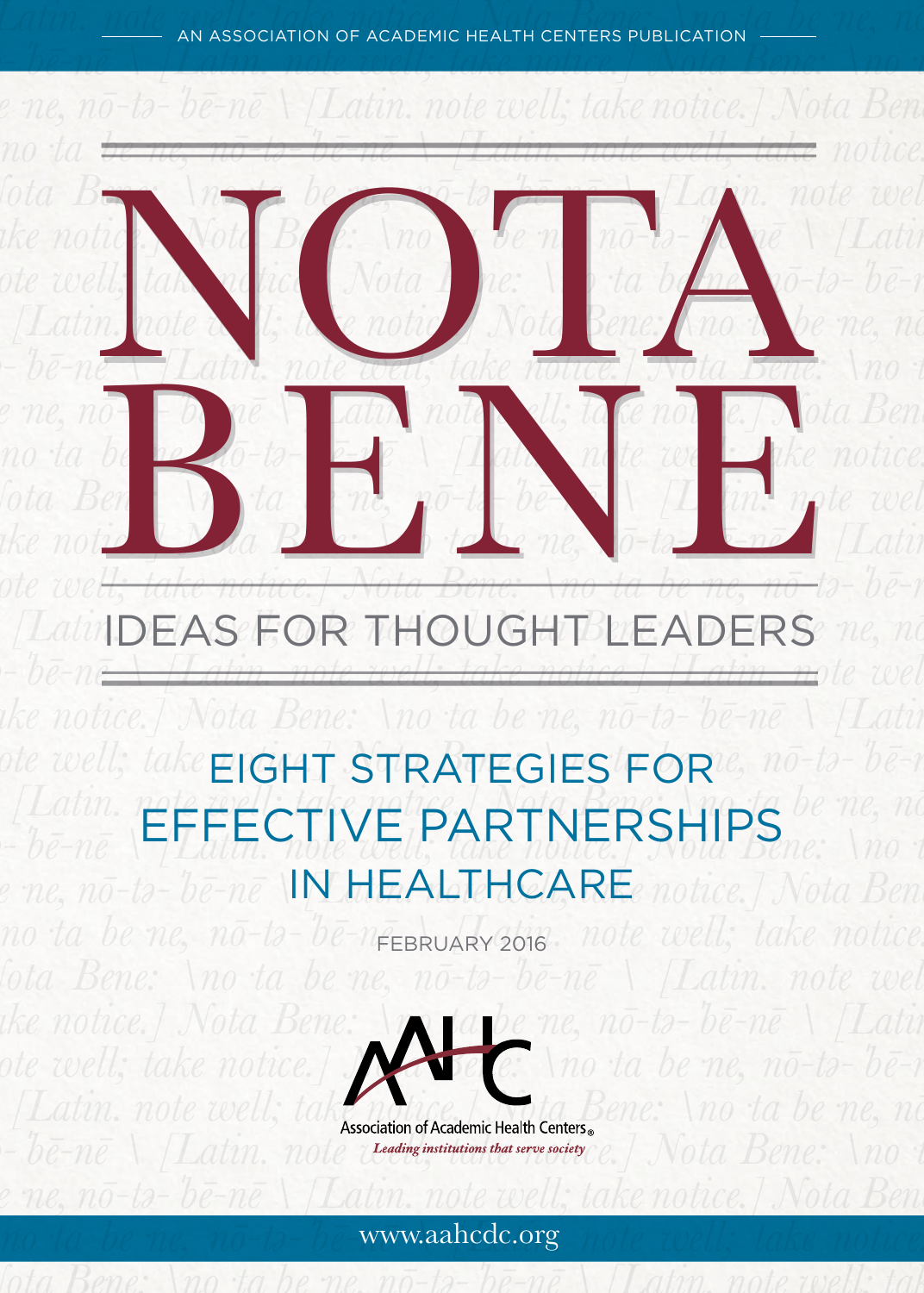$Lain.$  <u>(note va</u>n association of academic health centers publication (duberties) (no *tə-ˈbē-nē \ [Latin. note well; take notice.] Nota Bene: \no·ta* 



# *\ [Latin. note well; take notice.] Nota Bene: \no·ta be·ne, nō-*IDEAS FOR THOUGHT LEADERS *tə-ˈbē-nē \ [Latin. note well; take notice.] [Latin. note well;*

## ote well; take EIGHT STRATEGIES FOR<sup>ie, nō-tə-ˈbē-n</sup> *\ [Latin. note well; take notice.] Nota Bene: \no·ta be·ne, nōthe-ne* EFFECTIVE PARTNERSHIPS. *Not* e ne, nō-tə-ˈbē-nē \**IN HEALTHCARE**e notice.] Nota Ben

*\no·ta be·ne, nō-tə-ˈbē-nē \ [Latin. note well; take notice.]*  FEBRUARY 2016



Association of Academic Health Centers<sup>®</sup> ene: \no ta be ne, no  $t-b\bar{e}-n\bar{e}$  \ [Latin. note *treating institutions that serve secters*  $e$ .] Nota Bene: \no t

## *be·ne, nō-tə-ˈbē-nē \ [Latin. note well; take notice.] Nota Bene: \no·ta be·ne, nō-tə-ˈbē-nē \ [Latin. note well; take notice.]*  www.aahcdc.org *Nota Bene: \no·ta be·ne, nō-tə-ˈbē-nē \ [Latin. note well; take*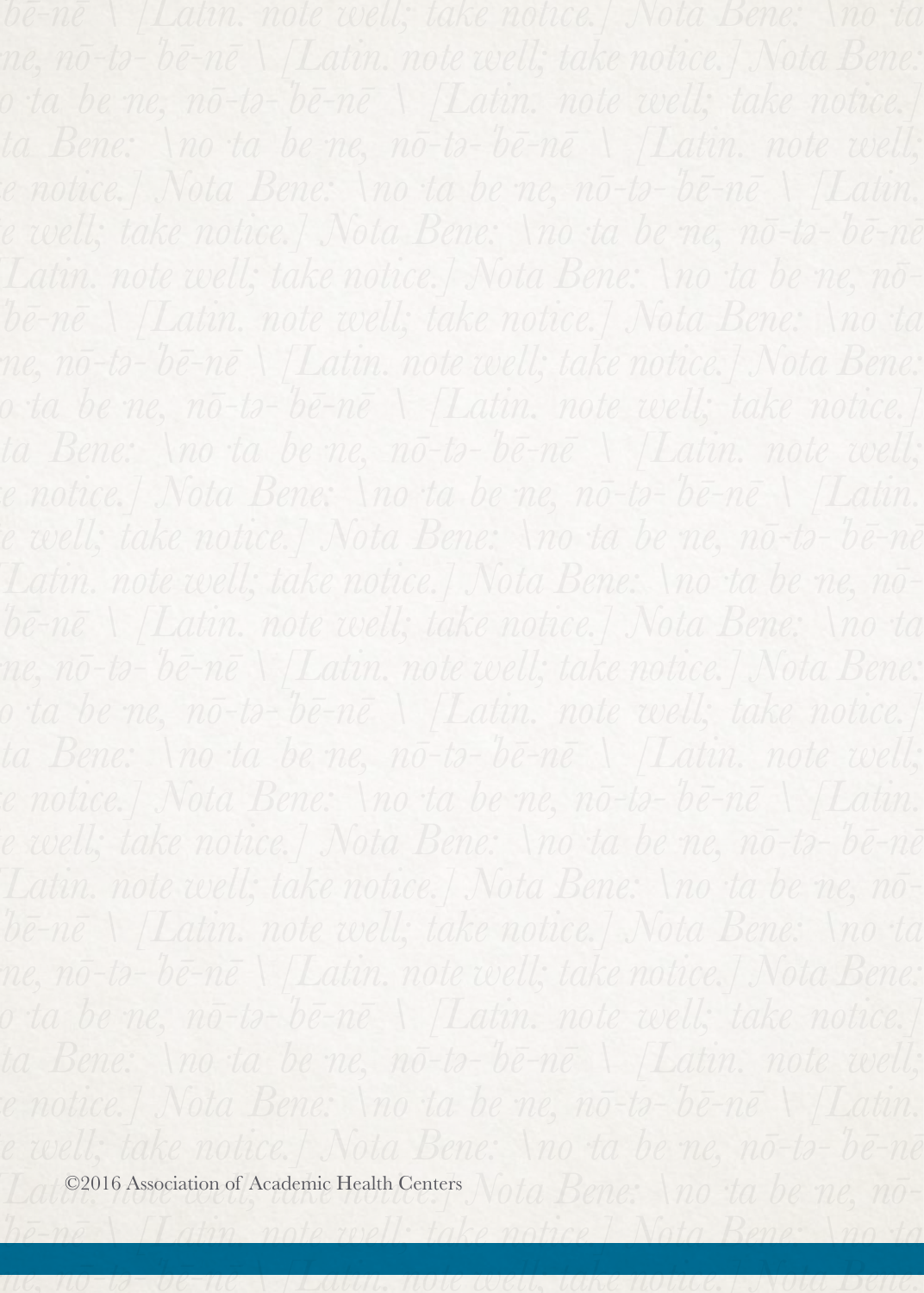*tə-ˈbē-nē \ [Latin. note well; take notice.] Nota Bene: \no·ta be·ne, nō-tə-ˈbē-nē \ [Latin. note well; take notice.] Nota Bene:*

Lating 2016 Association of Academic Health Centers Nota Bene: \no ta be ne, nō-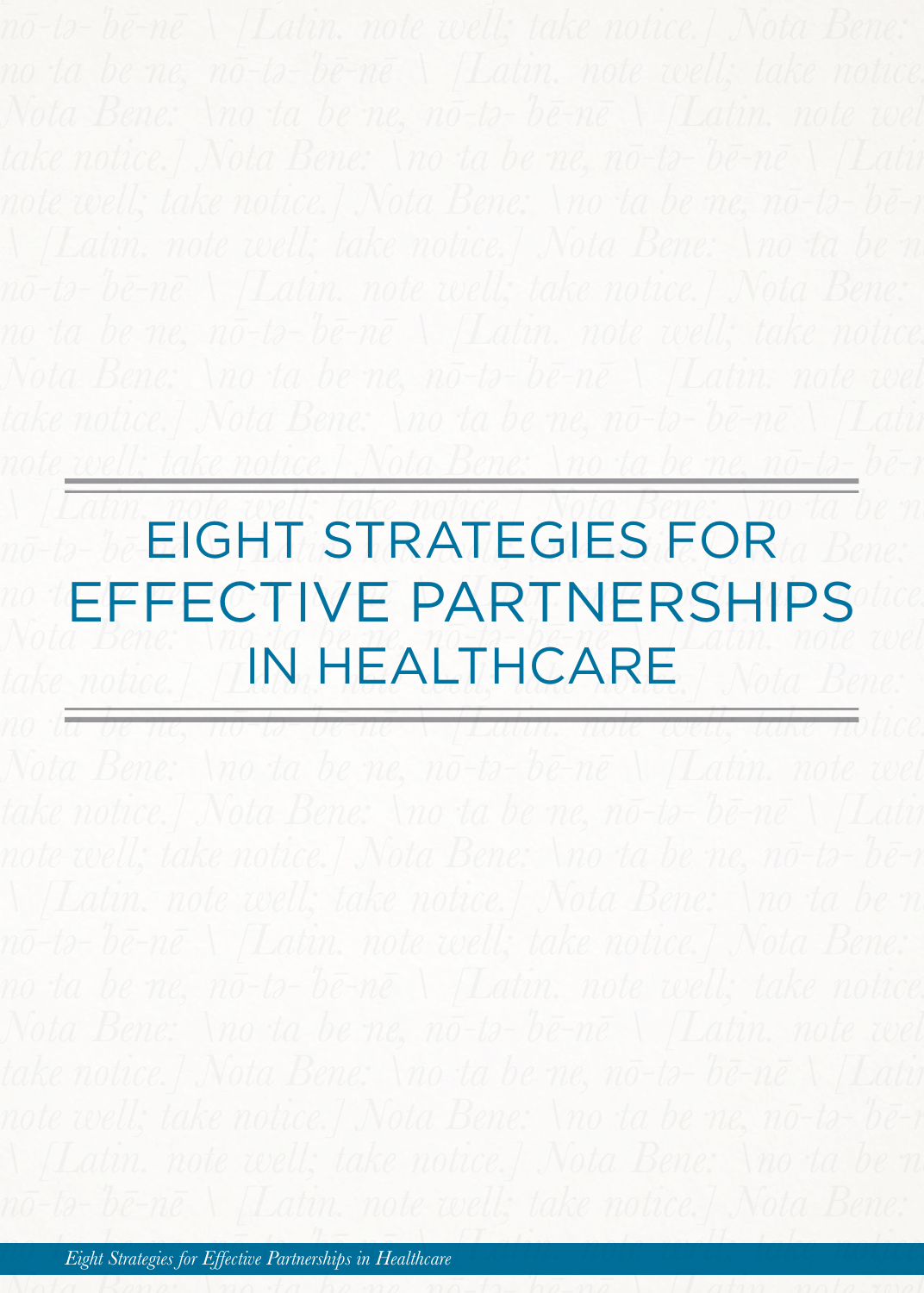*note well; take notice.] Nota Bene: \no·ta be·ne, nō-tə-ˈbē-nē* 

## *\ [Latin. note well; take notice.] Nota Bene: \no·ta be·ne,*  no-ta-ta **EIGHT STRATEGIES FOR**ta Bene: *No.* EFFECTIVE PARTNERSHIPS *Nota Bene:*  $\frac{1}{\sqrt{N+1}}$   $\frac{1}{\sqrt{N+1}}$   $\frac{1}{\sqrt{N+1}}$   $\frac{1}{\sqrt{N+1}}$  *Latin. note well*  $\mathcal{L}_{\textit{take notice.}}$  [**N. HEALTHCARE**] Nota Bene:

*no·ta be·ne, nō-tə-ˈbē-nē \ [Latin. note well; take notice.]*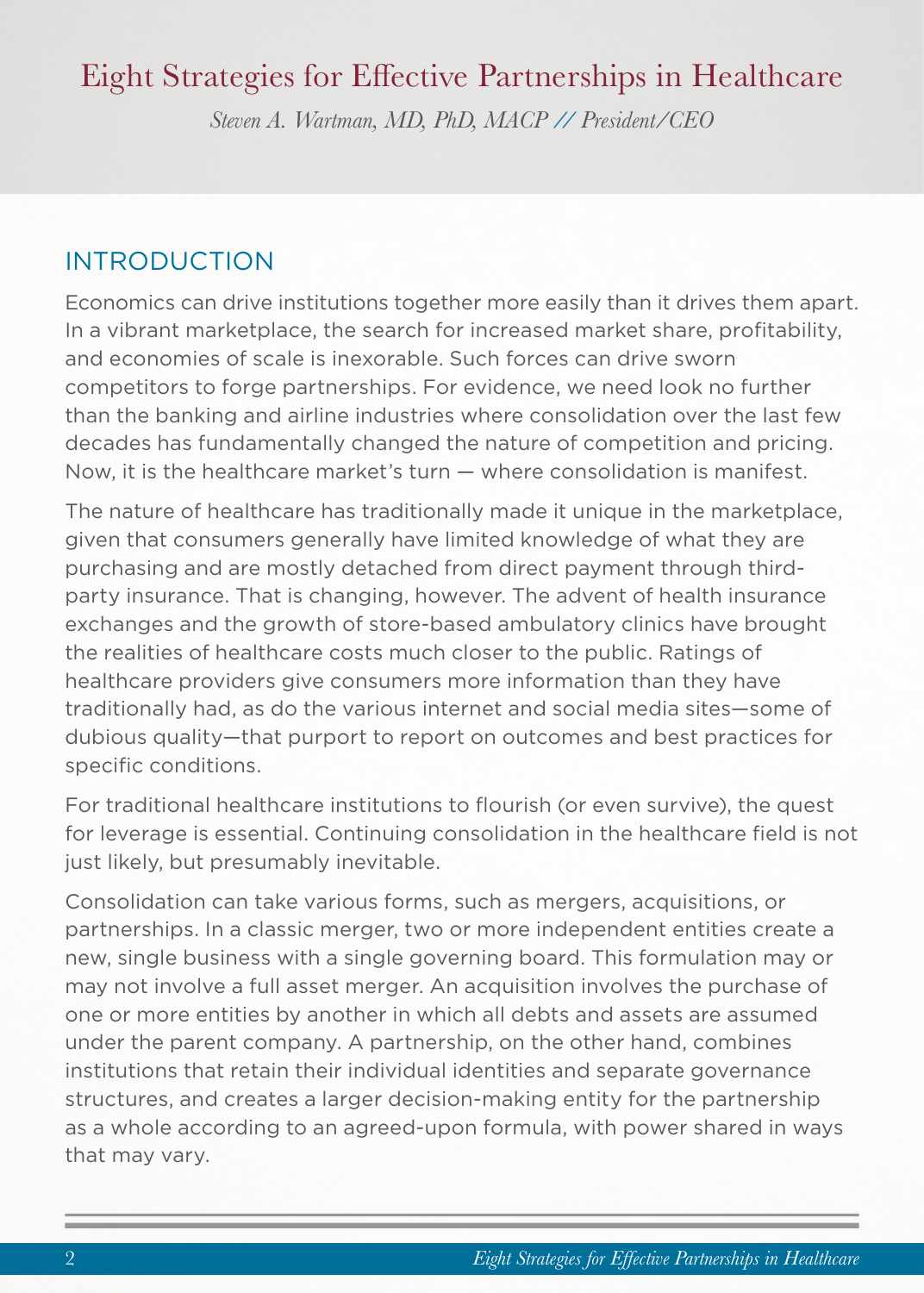## Eight Strategies for Effective Partnerships in Healthcare

*Steven A. Wartman, MD, PhD, MACP // President/CEO*

### INTRODUCTION

Economics can drive institutions together more easily than it drives them apart. In a vibrant marketplace, the search for increased market share, profitability, and economies of scale is inexorable. Such forces can drive sworn competitors to forge partnerships. For evidence, we need look no further than the banking and airline industries where consolidation over the last few decades has fundamentally changed the nature of competition and pricing. Now, it is the healthcare market's turn — where consolidation is manifest.

The nature of healthcare has traditionally made it unique in the marketplace, given that consumers generally have limited knowledge of what they are purchasing and are mostly detached from direct payment through thirdparty insurance. That is changing, however. The advent of health insurance exchanges and the growth of store-based ambulatory clinics have brought the realities of healthcare costs much closer to the public. Ratings of healthcare providers give consumers more information than they have traditionally had, as do the various internet and social media sites—some of dubious quality—that purport to report on outcomes and best practices for specific conditions.

For traditional healthcare institutions to flourish (or even survive), the quest for leverage is essential. Continuing consolidation in the healthcare field is not just likely, but presumably inevitable.

Consolidation can take various forms, such as mergers, acquisitions, or partnerships. In a classic merger, two or more independent entities create a new, single business with a single governing board. This formulation may or may not involve a full asset merger. An acquisition involves the purchase of one or more entities by another in which all debts and assets are assumed under the parent company. A partnership, on the other hand, combines institutions that retain their individual identities and separate governance structures, and creates a larger decision-making entity for the partnership as a whole according to an agreed-upon formula, with power shared in ways that may vary.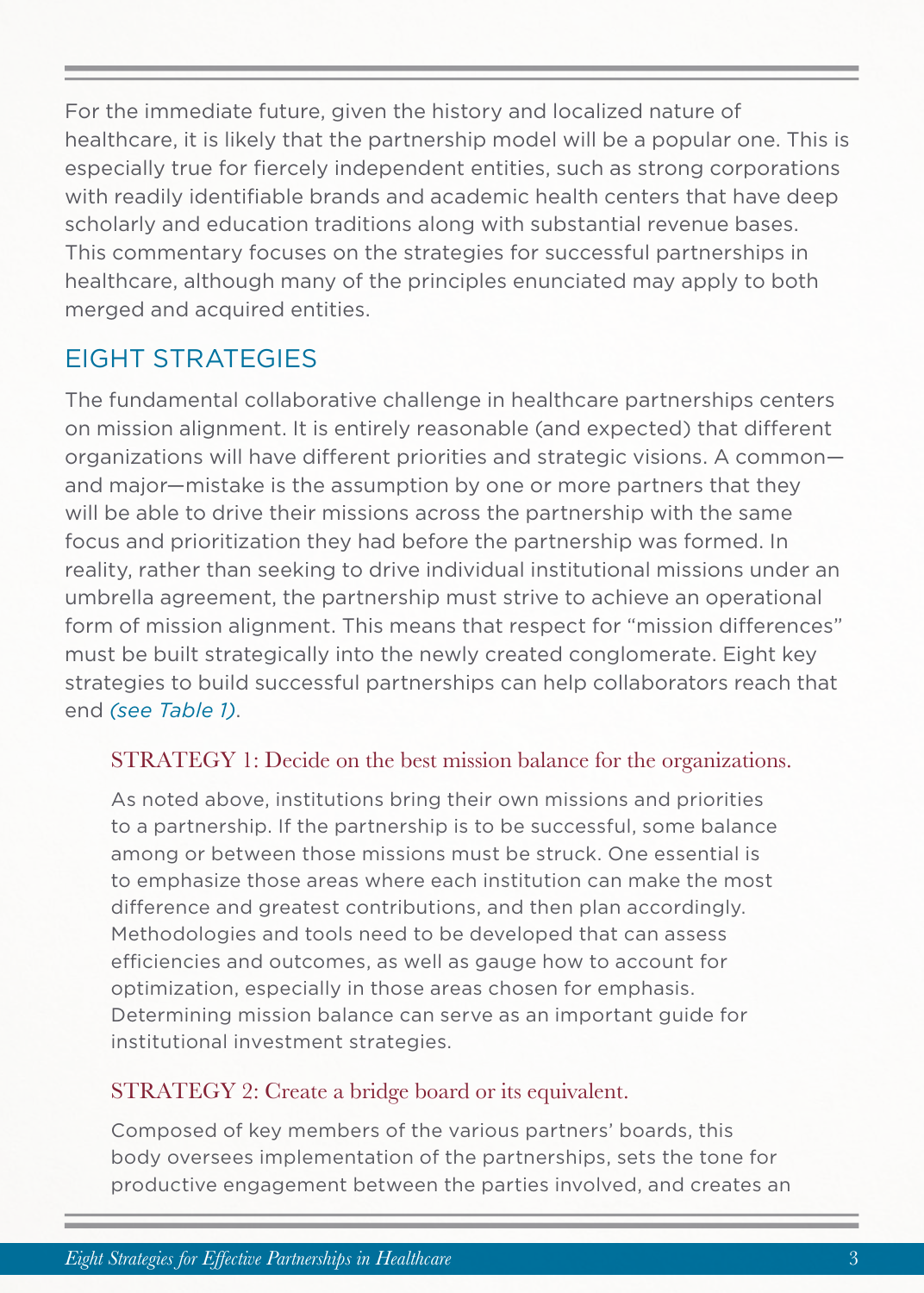For the immediate future, given the history and localized nature of healthcare, it is likely that the partnership model will be a popular one. This is especially true for fiercely independent entities, such as strong corporations with readily identifiable brands and academic health centers that have deep scholarly and education traditions along with substantial revenue bases. This commentary focuses on the strategies for successful partnerships in healthcare, although many of the principles enunciated may apply to both merged and acquired entities.

### EIGHT STRATEGIES

The fundamental collaborative challenge in healthcare partnerships centers on mission alignment. It is entirely reasonable (and expected) that different organizations will have different priorities and strategic visions. A common and major—mistake is the assumption by one or more partners that they will be able to drive their missions across the partnership with the same focus and prioritization they had before the partnership was formed. In reality, rather than seeking to drive individual institutional missions under an umbrella agreement, the partnership must strive to achieve an operational form of mission alignment. This means that respect for "mission differences" must be built strategically into the newly created conglomerate. Eight key strategies to build successful partnerships can help collaborators reach that end *(see Table 1)*.

#### STRATEGY 1: Decide on the best mission balance for the organizations.

As noted above, institutions bring their own missions and priorities to a partnership. If the partnership is to be successful, some balance among or between those missions must be struck. One essential is to emphasize those areas where each institution can make the most difference and greatest contributions, and then plan accordingly. Methodologies and tools need to be developed that can assess efficiencies and outcomes, as well as gauge how to account for optimization, especially in those areas chosen for emphasis. Determining mission balance can serve as an important guide for institutional investment strategies.

#### STRATEGY 2: Create a bridge board or its equivalent.

Composed of key members of the various partners' boards, this body oversees implementation of the partnerships, sets the tone for productive engagement between the parties involved, and creates an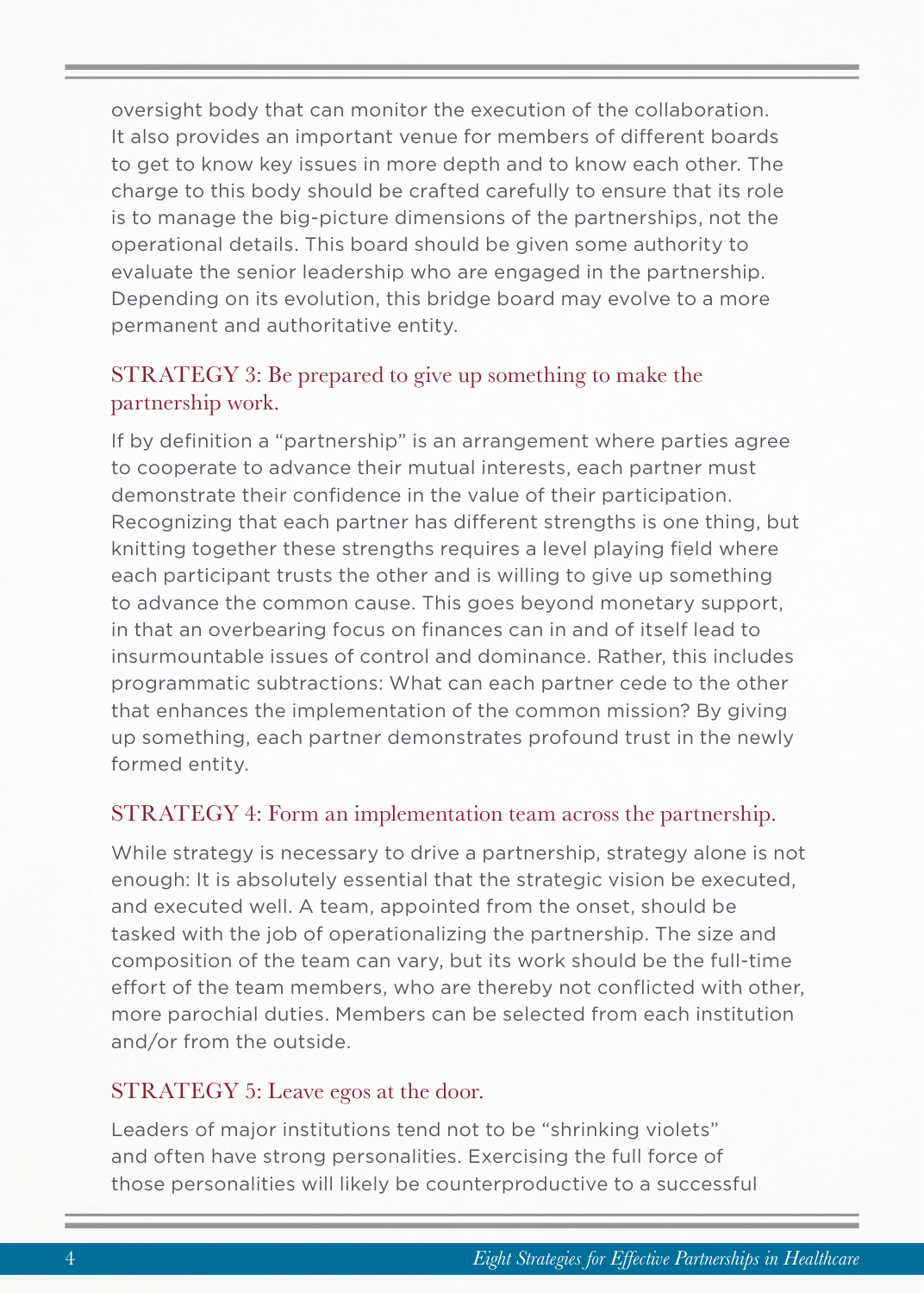oversight body that can monitor the execution of the collaboration. It also provides an important venue for members of different boards to get to know key issues in more depth and to know each other. The charge to this body should be crafted carefully to ensure that its role is to manage the big-picture dimensions of the partnerships, not the operational details. This board should be given some authority to evaluate the senior leadership who are engaged in the partnership. Depending on its evolution, this bridge board may evolve to a more permanent and authoritative entity.

#### STRATEGY 3: Be prepared to give up something to make the partnership work.

If by definition a "partnership" is an arrangement where parties agree to cooperate to advance their mutual interests, each partner must demonstrate their confidence in the value of their participation. Recognizing that each partner has different strengths is one thing, but knitting together these strengths requires a level playing field where each participant trusts the other and is willing to give up something to advance the common cause. This goes beyond monetary support, in that an overbearing focus on finances can in and of itself lead to insurmountable issues of control and dominance. Rather, this includes programmatic subtractions: What can each partner cede to the other that enhances the implementation of the common mission? By giving up something, each partner demonstrates profound trust in the newly formed entity.

#### STRATEGY 4: Form an implementation team across the partnership.

While strategy is necessary to drive a partnership, strategy alone is not enough: It is absolutely essential that the strategic vision be executed, and executed well. A team, appointed from the onset, should be tasked with the job of operationalizing the partnership. The size and composition of the team can vary, but its work should be the full-time effort of the team members, who are thereby not conflicted with other, more parochial duties. Members can be selected from each institution and/or from the outside.

#### STRATEGY 5: Leave egos at the door.

Leaders of major institutions tend not to be "shrinking violets" and often have strong personalities. Exercising the full force of those personalities will likely be counterproductive to a successful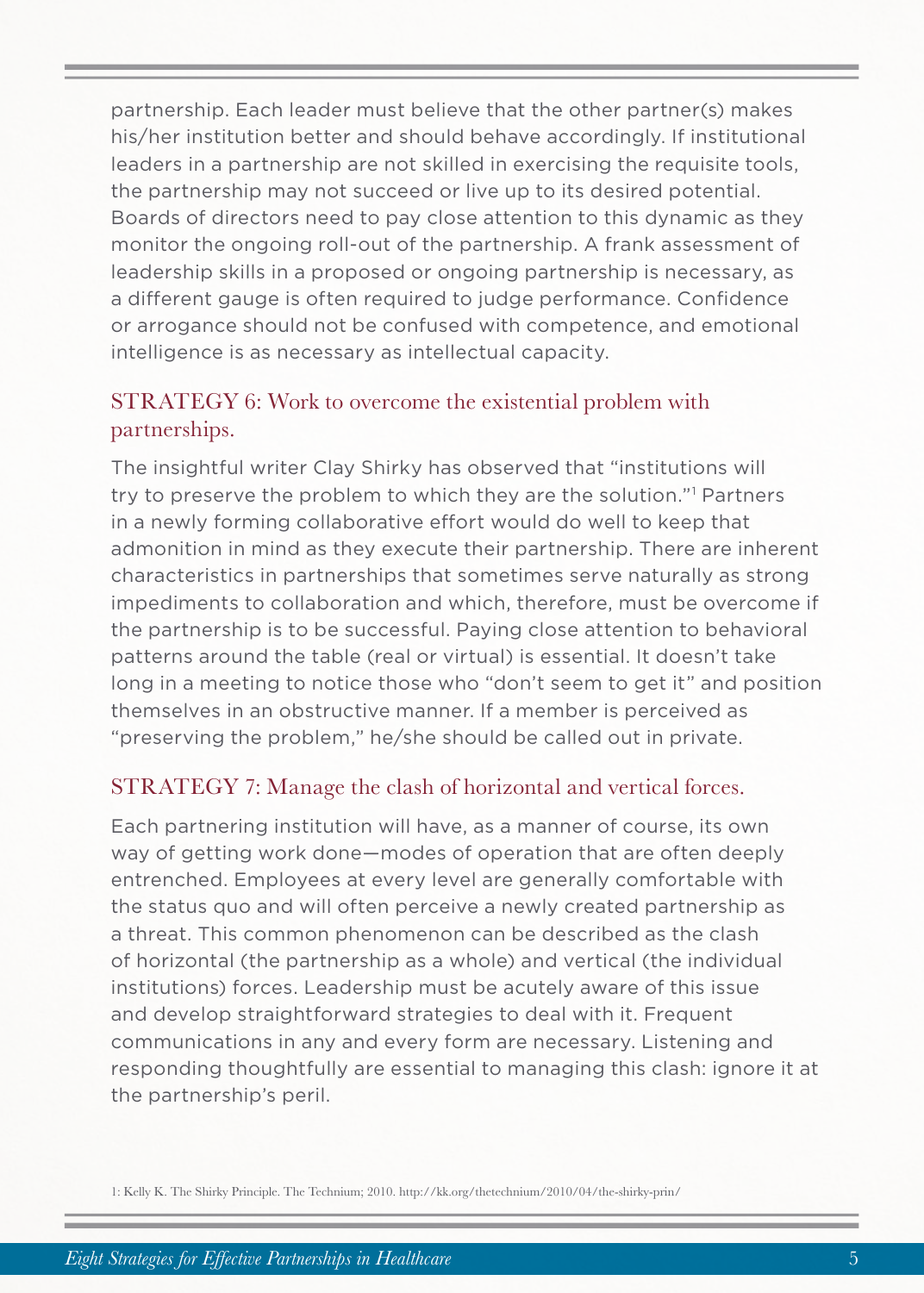partnership. Each leader must believe that the other partner(s) makes his/her institution better and should behave accordingly. If institutional leaders in a partnership are not skilled in exercising the requisite tools, the partnership may not succeed or live up to its desired potential. Boards of directors need to pay close attention to this dynamic as they monitor the ongoing roll-out of the partnership. A frank assessment of leadership skills in a proposed or ongoing partnership is necessary, as a different gauge is often required to judge performance. Confidence or arrogance should not be confused with competence, and emotional intelligence is as necessary as intellectual capacity.

#### STRATEGY 6: Work to overcome the existential problem with partnerships.

The insightful writer Clay Shirky has observed that "institutions will try to preserve the problem to which they are the solution."1 Partners in a newly forming collaborative effort would do well to keep that admonition in mind as they execute their partnership. There are inherent characteristics in partnerships that sometimes serve naturally as strong impediments to collaboration and which, therefore, must be overcome if the partnership is to be successful. Paying close attention to behavioral patterns around the table (real or virtual) is essential. It doesn't take long in a meeting to notice those who "don't seem to get it" and position themselves in an obstructive manner. If a member is perceived as "preserving the problem," he/she should be called out in private.

#### STRATEGY 7: Manage the clash of horizontal and vertical forces.

Each partnering institution will have, as a manner of course, its own way of getting work done—modes of operation that are often deeply entrenched. Employees at every level are generally comfortable with the status quo and will often perceive a newly created partnership as a threat. This common phenomenon can be described as the clash of horizontal (the partnership as a whole) and vertical (the individual institutions) forces. Leadership must be acutely aware of this issue and develop straightforward strategies to deal with it. Frequent communications in any and every form are necessary. Listening and responding thoughtfully are essential to managing this clash: ignore it at the partnership's peril.

<sup>1:</sup> Kelly K. The Shirky Principle. The Technium; 2010. http://kk.org/thetechnium/2010/04/the-shirky-prin/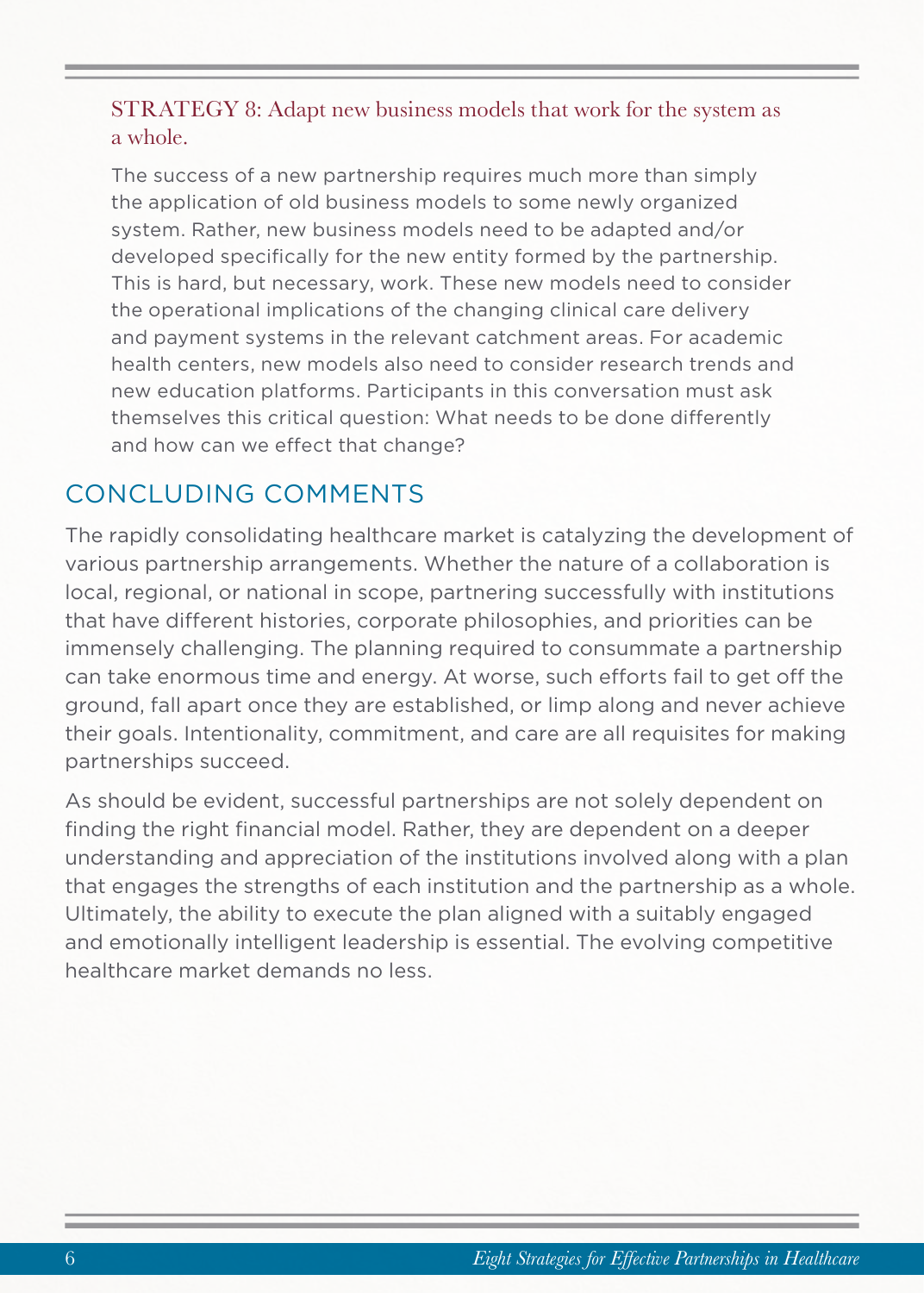#### STRATEGY 8: Adapt new business models that work for the system as a whole.

The success of a new partnership requires much more than simply the application of old business models to some newly organized system. Rather, new business models need to be adapted and/or developed specifically for the new entity formed by the partnership. This is hard, but necessary, work. These new models need to consider the operational implications of the changing clinical care delivery and payment systems in the relevant catchment areas. For academic health centers, new models also need to consider research trends and new education platforms. Participants in this conversation must ask themselves this critical question: What needs to be done differently and how can we effect that change?

### CONCLUDING COMMENTS

The rapidly consolidating healthcare market is catalyzing the development of various partnership arrangements. Whether the nature of a collaboration is local, regional, or national in scope, partnering successfully with institutions that have different histories, corporate philosophies, and priorities can be immensely challenging. The planning required to consummate a partnership can take enormous time and energy. At worse, such efforts fail to get off the ground, fall apart once they are established, or limp along and never achieve their goals. Intentionality, commitment, and care are all requisites for making partnerships succeed.

As should be evident, successful partnerships are not solely dependent on finding the right financial model. Rather, they are dependent on a deeper understanding and appreciation of the institutions involved along with a plan that engages the strengths of each institution and the partnership as a whole. Ultimately, the ability to execute the plan aligned with a suitably engaged and emotionally intelligent leadership is essential. The evolving competitive healthcare market demands no less.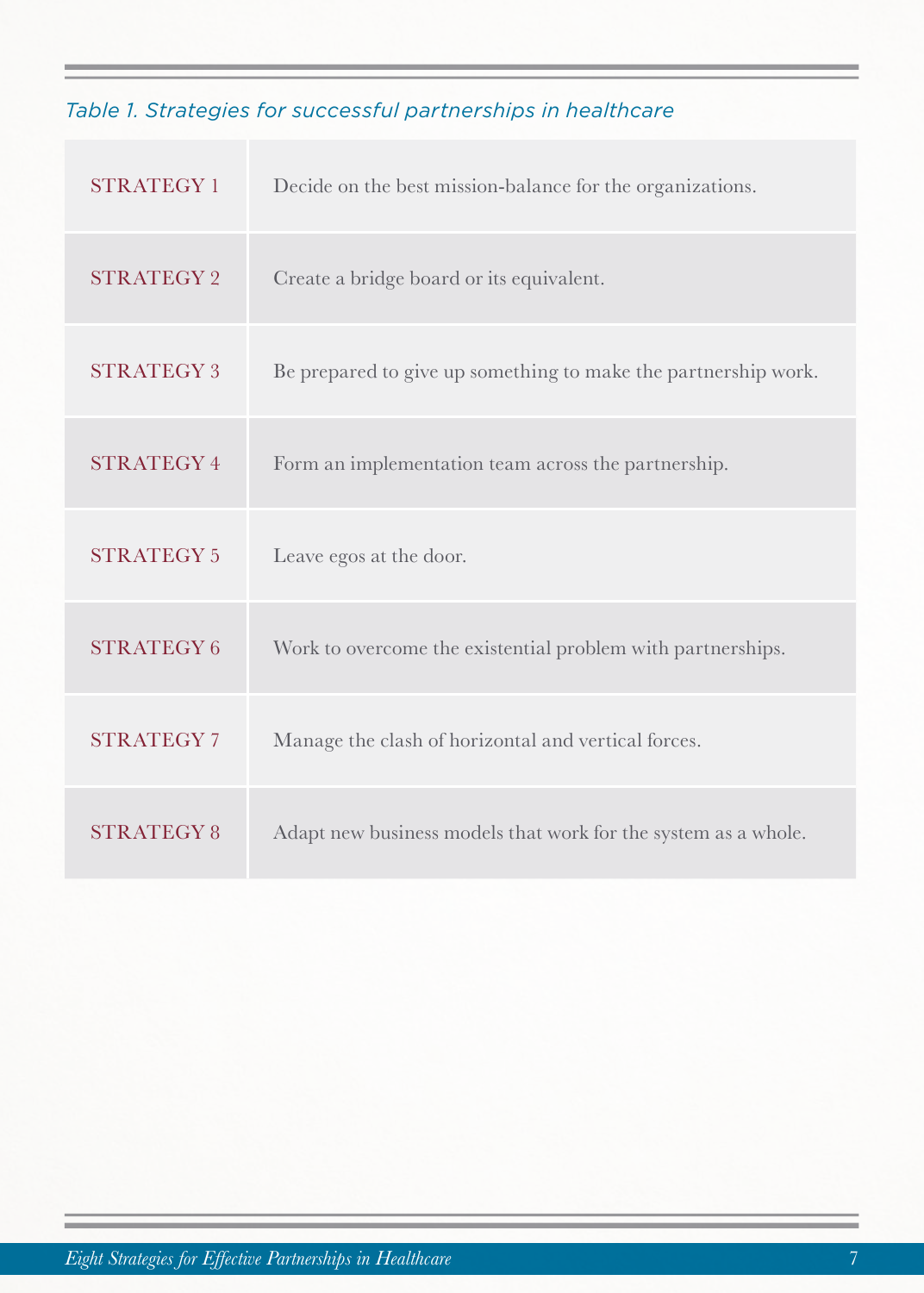### *Table 1. Strategies for successful partnerships in healthcare*

| <b>STRATEGY1</b>  | Decide on the best mission-balance for the organizations.      |
|-------------------|----------------------------------------------------------------|
| <b>STRATEGY 2</b> | Create a bridge board or its equivalent.                       |
| <b>STRATEGY 3</b> | Be prepared to give up something to make the partnership work. |
| <b>STRATEGY4</b>  | Form an implementation team across the partnership.            |
|                   |                                                                |
| <b>STRATEGY 5</b> | Leave egos at the door.                                        |
| <b>STRATEGY6</b>  | Work to overcome the existential problem with partnerships.    |
| <b>STRATEGY 7</b> | Manage the clash of horizontal and vertical forces.            |